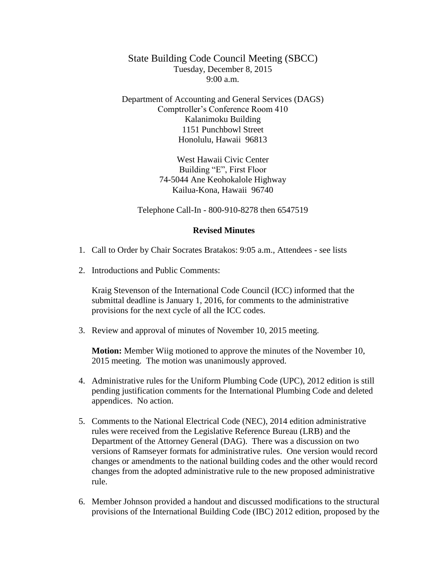State Building Code Council Meeting (SBCC) Tuesday, December 8, 2015 9:00 a.m.

Department of Accounting and General Services (DAGS) Comptroller's Conference Room 410 Kalanimoku Building 1151 Punchbowl Street Honolulu, Hawaii 96813

> West Hawaii Civic Center Building "E", First Floor 74-5044 Ane Keohokalole Highway Kailua-Kona, Hawaii 96740

Telephone Call-In - 800-910-8278 then 6547519

## **Revised Minutes**

- 1. Call to Order by Chair Socrates Bratakos: 9:05 a.m., Attendees see lists
- 2. Introductions and Public Comments:

Kraig Stevenson of the International Code Council (ICC) informed that the submittal deadline is January 1, 2016, for comments to the administrative provisions for the next cycle of all the ICC codes.

3. Review and approval of minutes of November 10, 2015 meeting.

**Motion:** Member Wiig motioned to approve the minutes of the November 10, 2015 meeting. The motion was unanimously approved.

- 4. Administrative rules for the Uniform Plumbing Code (UPC), 2012 edition is still pending justification comments for the International Plumbing Code and deleted appendices. No action.
- 5. Comments to the National Electrical Code (NEC), 2014 edition administrative rules were received from the Legislative Reference Bureau (LRB) and the Department of the Attorney General (DAG). There was a discussion on two versions of Ramseyer formats for administrative rules. One version would record changes or amendments to the national building codes and the other would record changes from the adopted administrative rule to the new proposed administrative rule.
- 6. Member Johnson provided a handout and discussed modifications to the structural provisions of the International Building Code (IBC) 2012 edition, proposed by the